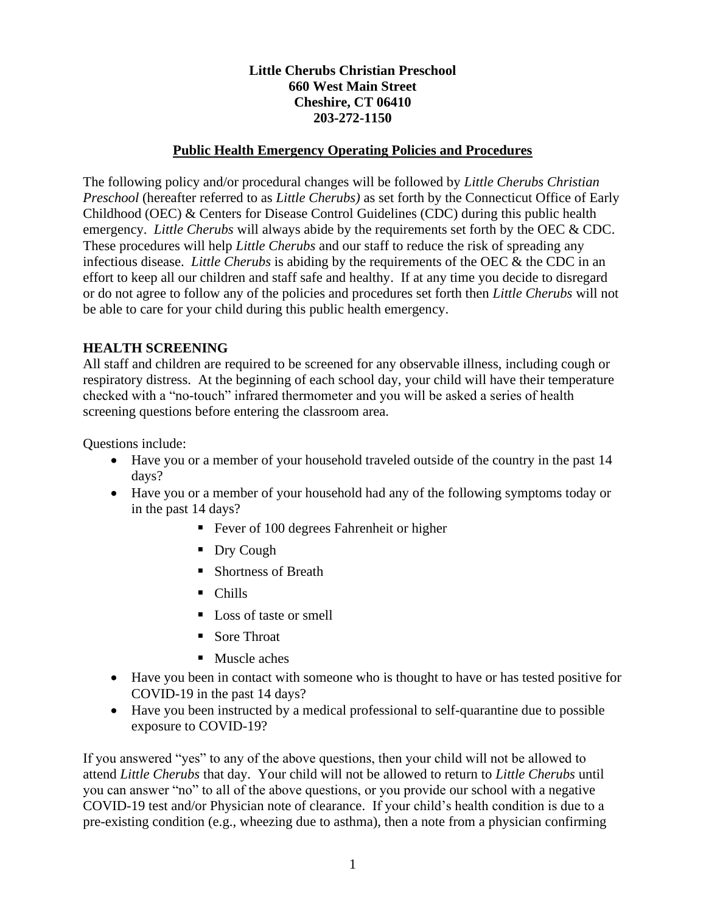## **Little Cherubs Christian Preschool 660 West Main Street Cheshire, CT 06410 203-272-1150**

#### **Public Health Emergency Operating Policies and Procedures**

The following policy and/or procedural changes will be followed by *Little Cherubs Christian Preschool* (hereafter referred to as *Little Cherubs)* as set forth by the Connecticut Office of Early Childhood (OEC) & Centers for Disease Control Guidelines (CDC) during this public health emergency. *Little Cherubs* will always abide by the requirements set forth by the OEC & CDC. These procedures will help *Little Cherubs* and our staff to reduce the risk of spreading any infectious disease. *Little Cherubs* is abiding by the requirements of the OEC & the CDC in an effort to keep all our children and staff safe and healthy. If at any time you decide to disregard or do not agree to follow any of the policies and procedures set forth then *Little Cherubs* will not be able to care for your child during this public health emergency.

### **HEALTH SCREENING**

All staff and children are required to be screened for any observable illness, including cough or respiratory distress. At the beginning of each school day, your child will have their temperature checked with a "no-touch" infrared thermometer and you will be asked a series of health screening questions before entering the classroom area.

Questions include:

- Have you or a member of your household traveled outside of the country in the past 14 days?
- Have you or a member of your household had any of the following symptoms today or in the past 14 days?
	- Fever of 100 degrees Fahrenheit or higher
	- Dry Cough
	- Shortness of Breath
	- Chills
	- Loss of taste or smell
	- Sore Throat
	- Muscle aches
- Have you been in contact with someone who is thought to have or has tested positive for COVID-19 in the past 14 days?
- Have you been instructed by a medical professional to self-quarantine due to possible exposure to COVID-19?

If you answered "yes" to any of the above questions, then your child will not be allowed to attend *Little Cherubs* that day. Your child will not be allowed to return to *Little Cherubs* until you can answer "no" to all of the above questions, or you provide our school with a negative COVID-19 test and/or Physician note of clearance. If your child's health condition is due to a pre-existing condition (e.g., wheezing due to asthma), then a note from a physician confirming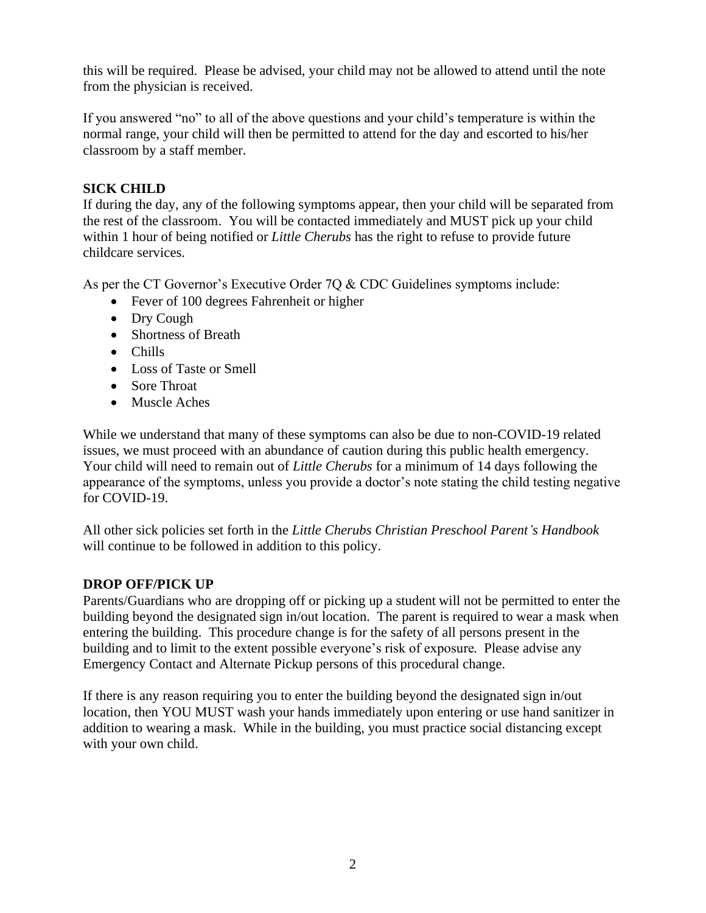this will be required. Please be advised, your child may not be allowed to attend until the note from the physician is received.

If you answered "no" to all of the above questions and your child's temperature is within the normal range, your child will then be permitted to attend for the day and escorted to his/her classroom by a staff member.

## **SICK CHILD**

If during the day, any of the following symptoms appear, then your child will be separated from the rest of the classroom. You will be contacted immediately and MUST pick up your child within 1 hour of being notified or *Little Cherubs* has the right to refuse to provide future childcare services.

As per the CT Governor's Executive Order 7Q & CDC Guidelines symptoms include:

- Fever of 100 degrees Fahrenheit or higher
- Dry Cough
- Shortness of Breath
- Chills
- Loss of Taste or Smell
- Sore Throat
- Muscle Aches

While we understand that many of these symptoms can also be due to non-COVID-19 related issues, we must proceed with an abundance of caution during this public health emergency. Your child will need to remain out of *Little Cherubs* for a minimum of 14 days following the appearance of the symptoms, unless you provide a doctor's note stating the child testing negative for COVID-19.

All other sick policies set forth in the *Little Cherubs Christian Preschool Parent's Handbook* will continue to be followed in addition to this policy.

#### **DROP OFF/PICK UP**

Parents/Guardians who are dropping off or picking up a student will not be permitted to enter the building beyond the designated sign in/out location. The parent is required to wear a mask when entering the building. This procedure change is for the safety of all persons present in the building and to limit to the extent possible everyone's risk of exposure. Please advise any Emergency Contact and Alternate Pickup persons of this procedural change.

If there is any reason requiring you to enter the building beyond the designated sign in/out location, then YOU MUST wash your hands immediately upon entering or use hand sanitizer in addition to wearing a mask. While in the building, you must practice social distancing except with your own child.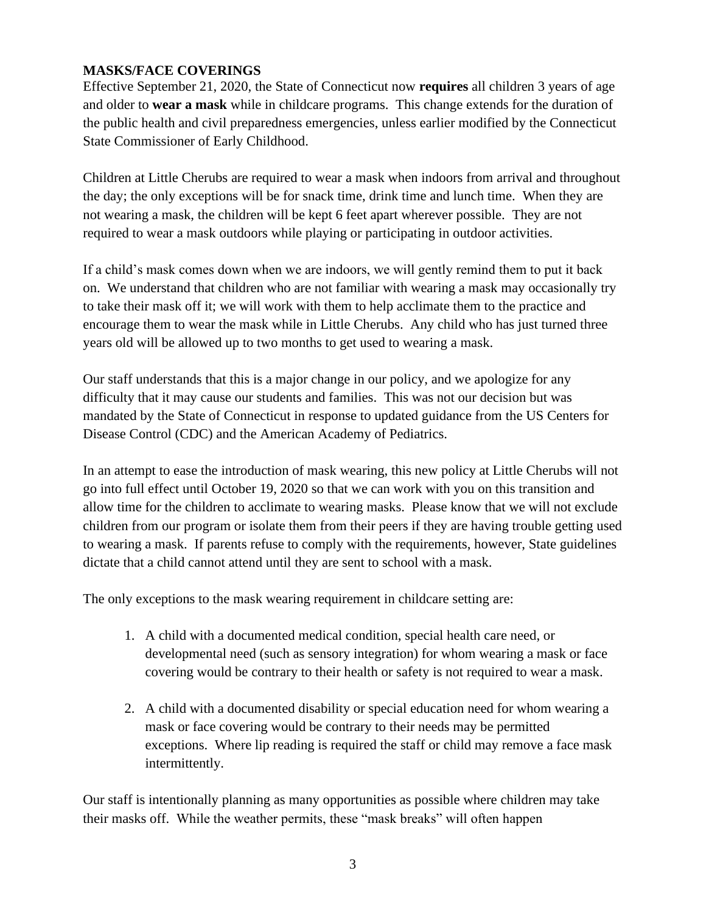# **MASKS/FACE COVERINGS**

Effective September 21, 2020, the State of Connecticut now **requires** all children 3 years of age and older to **wear a mask** while in childcare programs. This change extends for the duration of the public health and civil preparedness emergencies, unless earlier modified by the Connecticut State Commissioner of Early Childhood.

Children at Little Cherubs are required to wear a mask when indoors from arrival and throughout the day; the only exceptions will be for snack time, drink time and lunch time. When they are not wearing a mask, the children will be kept 6 feet apart wherever possible. They are not required to wear a mask outdoors while playing or participating in outdoor activities.

If a child's mask comes down when we are indoors, we will gently remind them to put it back on. We understand that children who are not familiar with wearing a mask may occasionally try to take their mask off it; we will work with them to help acclimate them to the practice and encourage them to wear the mask while in Little Cherubs. Any child who has just turned three years old will be allowed up to two months to get used to wearing a mask.

Our staff understands that this is a major change in our policy, and we apologize for any difficulty that it may cause our students and families. This was not our decision but was mandated by the State of Connecticut in response to updated guidance from the US Centers for Disease Control (CDC) and the American Academy of Pediatrics.

In an attempt to ease the introduction of mask wearing, this new policy at Little Cherubs will not go into full effect until October 19, 2020 so that we can work with you on this transition and allow time for the children to acclimate to wearing masks. Please know that we will not exclude children from our program or isolate them from their peers if they are having trouble getting used to wearing a mask. If parents refuse to comply with the requirements, however, State guidelines dictate that a child cannot attend until they are sent to school with a mask.

The only exceptions to the mask wearing requirement in childcare setting are:

- 1. A child with a documented medical condition, special health care need, or developmental need (such as sensory integration) for whom wearing a mask or face covering would be contrary to their health or safety is not required to wear a mask.
- 2. A child with a documented disability or special education need for whom wearing a mask or face covering would be contrary to their needs may be permitted exceptions. Where lip reading is required the staff or child may remove a face mask intermittently.

Our staff is intentionally planning as many opportunities as possible where children may take their masks off. While the weather permits, these "mask breaks" will often happen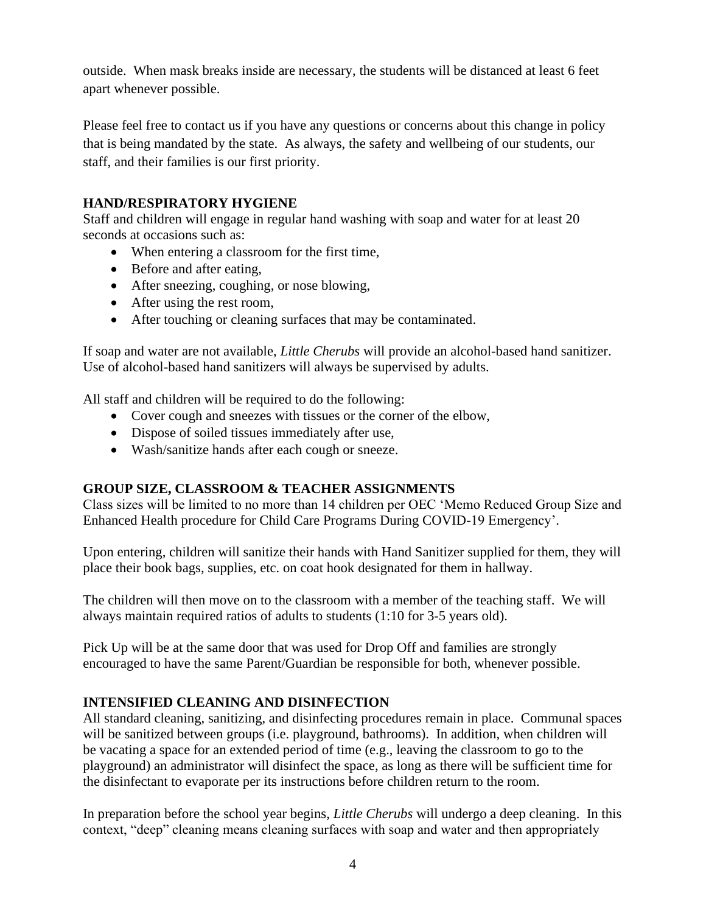outside. When mask breaks inside are necessary, the students will be distanced at least 6 feet apart whenever possible.

Please feel free to contact us if you have any questions or concerns about this change in policy that is being mandated by the state. As always, the safety and wellbeing of our students, our staff, and their families is our first priority.

## **HAND/RESPIRATORY HYGIENE**

Staff and children will engage in regular hand washing with soap and water for at least 20 seconds at occasions such as:

- When entering a classroom for the first time,
- Before and after eating,
- After sneezing, coughing, or nose blowing,
- After using the rest room,
- After touching or cleaning surfaces that may be contaminated.

If soap and water are not available, *Little Cherubs* will provide an alcohol-based hand sanitizer. Use of alcohol-based hand sanitizers will always be supervised by adults.

All staff and children will be required to do the following:

- Cover cough and sneezes with tissues or the corner of the elbow,
- Dispose of soiled tissues immediately after use,
- Wash/sanitize hands after each cough or sneeze.

# **GROUP SIZE, CLASSROOM & TEACHER ASSIGNMENTS**

Class sizes will be limited to no more than 14 children per OEC 'Memo Reduced Group Size and Enhanced Health procedure for Child Care Programs During COVID-19 Emergency'.

Upon entering, children will sanitize their hands with Hand Sanitizer supplied for them, they will place their book bags, supplies, etc. on coat hook designated for them in hallway.

The children will then move on to the classroom with a member of the teaching staff. We will always maintain required ratios of adults to students (1:10 for 3-5 years old).

Pick Up will be at the same door that was used for Drop Off and families are strongly encouraged to have the same Parent/Guardian be responsible for both, whenever possible.

## **INTENSIFIED CLEANING AND DISINFECTION**

All standard cleaning, sanitizing, and disinfecting procedures remain in place. Communal spaces will be sanitized between groups (i.e. playground, bathrooms). In addition, when children will be vacating a space for an extended period of time (e.g., leaving the classroom to go to the playground) an administrator will disinfect the space, as long as there will be sufficient time for the disinfectant to evaporate per its instructions before children return to the room.

In preparation before the school year begins, *Little Cherubs* will undergo a deep cleaning. In this context, "deep" cleaning means cleaning surfaces with soap and water and then appropriately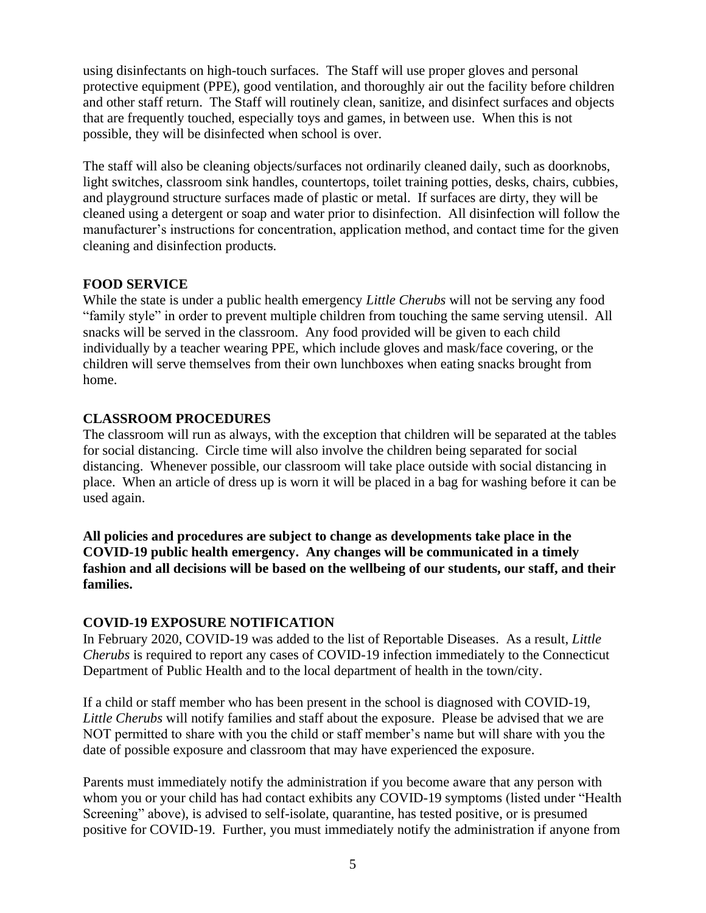using disinfectants on high-touch surfaces. The Staff will use proper gloves and personal protective equipment (PPE), good ventilation, and thoroughly air out the facility before children and other staff return. The Staff will routinely clean, sanitize, and disinfect surfaces and objects that are frequently touched, especially toys and games, in between use. When this is not possible, they will be disinfected when school is over.

The staff will also be cleaning objects/surfaces not ordinarily cleaned daily, such as doorknobs, light switches, classroom sink handles, countertops, toilet training potties, desks, chairs, cubbies, and playground structure surfaces made of plastic or metal. If surfaces are dirty, they will be cleaned using a detergent or soap and water prior to disinfection. All disinfection will follow the manufacturer's instructions for concentration, application method, and contact time for the given cleaning and disinfection products.

## **FOOD SERVICE**

While the state is under a public health emergency *Little Cherubs* will not be serving any food "family style" in order to prevent multiple children from touching the same serving utensil. All snacks will be served in the classroom. Any food provided will be given to each child individually by a teacher wearing PPE, which include gloves and mask/face covering, or the children will serve themselves from their own lunchboxes when eating snacks brought from home.

# **CLASSROOM PROCEDURES**

The classroom will run as always, with the exception that children will be separated at the tables for social distancing. Circle time will also involve the children being separated for social distancing. Whenever possible, our classroom will take place outside with social distancing in place. When an article of dress up is worn it will be placed in a bag for washing before it can be used again.

**All policies and procedures are subject to change as developments take place in the COVID-19 public health emergency. Any changes will be communicated in a timely fashion and all decisions will be based on the wellbeing of our students, our staff, and their families.**

## **COVID-19 EXPOSURE NOTIFICATION**

In February 2020, COVID-19 was added to the list of Reportable Diseases. As a result, *Little Cherubs* is required to report any cases of COVID-19 infection immediately to the Connecticut Department of Public Health and to the local department of health in the town/city.

If a child or staff member who has been present in the school is diagnosed with COVID-19, *Little Cherubs* will notify families and staff about the exposure. Please be advised that we are NOT permitted to share with you the child or staff member's name but will share with you the date of possible exposure and classroom that may have experienced the exposure.

Parents must immediately notify the administration if you become aware that any person with whom you or your child has had contact exhibits any COVID-19 symptoms (listed under "Health Screening" above), is advised to self-isolate, quarantine, has tested positive, or is presumed positive for COVID-19. Further, you must immediately notify the administration if anyone from